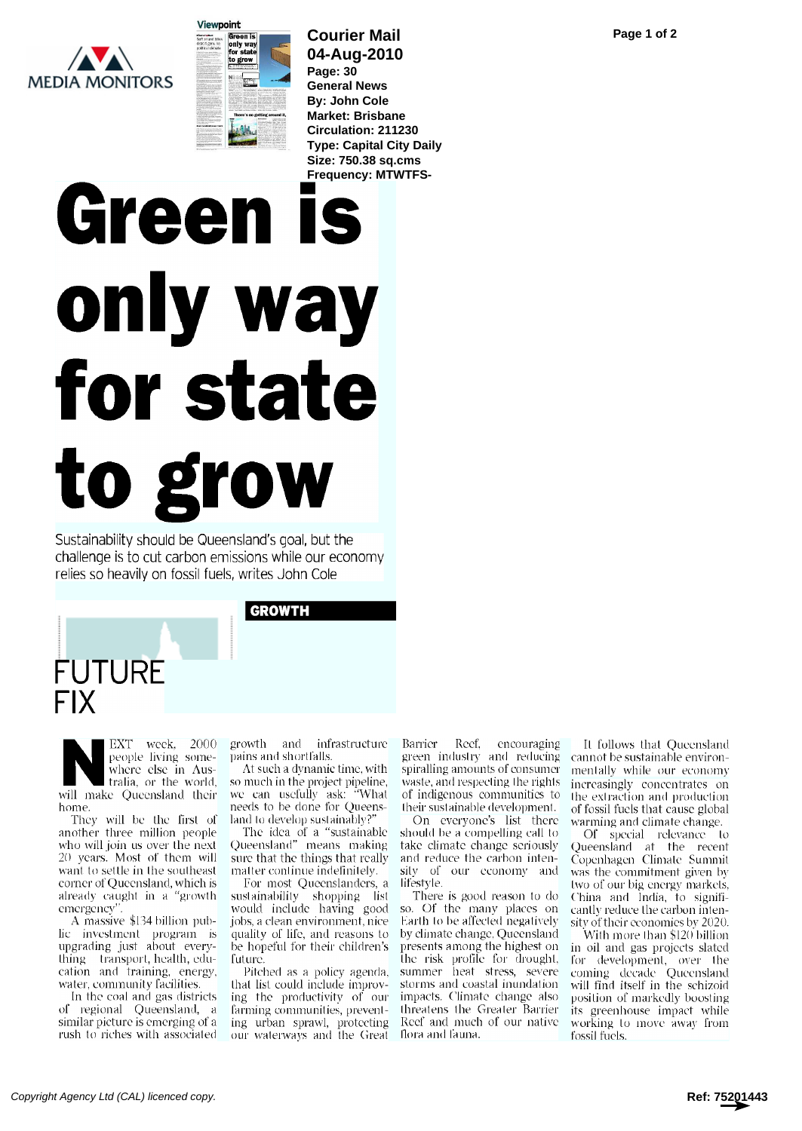**MEDIA MONITORS** 



## **Courier Mail 04-Aug-2010 Page: 30**

**General News By: John Cole Market: Brisbane Circulation: 211230 Type: Capital City Daily Size: 750.38 sq.cms Frequency: MTWTFS-**

## Green is only way for state to grow

Sustainability should be Queensland's goal, but the challenge is to cut carbon emissions while our economy relies so heavily on fossil fuels, writes John Cole

GROWTH



Where else in Aus-<br>tralia, or the world, so much people living somewhere else in Auswill make Queensland their home.

another three million people who will join us over the next 20 years. Most of them will want to settle in the southeast corner of Queensland, which is already caught in a "growth emergency".

A massive \$134 billion public investment program is upgrading just about everything transport, health, edu- cation and training, energy, water, community facilities.

In the coal and gas districts of regional Queensland, a similar picture is emerging of a rush to riches with associated

week, 2000 growth and infrastructure pains and shortfalls.

They will be the first of land to develop sustainably?" At such a dynamic time, with so much in the project pipeline, we can usefully ask: "What needs to be done for Queens-

The idea of a "sustainable Queensland" means making sure that the things that really matter continue indefinitely.

For most Queenslanders, a sustainability shopping list would include having good jobs, a clean environment, nice quality of life, and reasons to be hopeful for their children's future.

that list could include improving the productivity of our farming communities, preventing urban sprawl, protecting our waterways and the Great flora and fauna.

Barrier Reef, encouraging green industry and reducing spiralling amounts of consumer waste, and respecting the rights of indigenous communities to their sustainable development.

On everyone's list there should be a compelling call to take climate change seriously and reduce the carbon intensity of our economy and lifestyle.

Pitched as a policy agenda, summer heat stress, severe There is good reason to do so. Of the many places on Earth to be affected negatively by climate change, Queensland presents among the highest on the risk profile for drought, storms and coastal inundation impacts. Climate change also threatens the Greater Barrier Reef and much of our native

It follows that Queensland cannot be sustainable environmentally while our economy increasingly concentrates on the extraction and production of fossil fuels that cause global warming and climate change.

Of special relevance to Queensland at the recent Copenhagen Climate Summit was the commitment given by two of our big energy markets, China and India, to significantly reduce the carbon intensity of their economies by 2020.

With more than \$120 billion in oil and gas projects slated for development, over the coming decade Queensland will find itself in the schizoid position of markedly boosting its greenhouse impact while working to move away from fossil fuels.